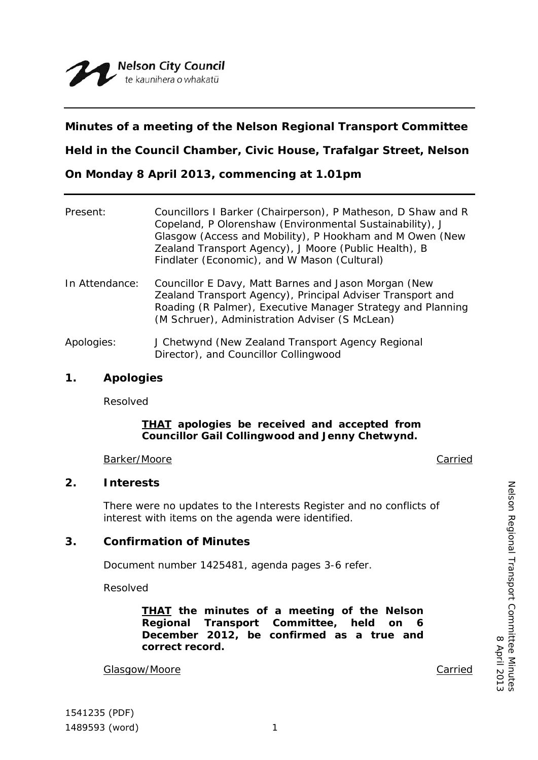# **Minutes of a meeting of the Nelson Regional Transport Committee**

**Held in the Council Chamber, Civic House, Trafalgar Street, Nelson**

**On Monday 8 April 2013, commencing at 1.01pm**

| Present:       | Councillors I Barker (Chairperson), P Matheson, D Shaw and R<br>Copeland, P Olorenshaw (Environmental Sustainability), J<br>Glasgow (Access and Mobility), P Hookham and M Owen (New<br>Zealand Transport Agency), J Moore (Public Health), B<br>Findlater (Economic), and W Mason (Cultural) |
|----------------|-----------------------------------------------------------------------------------------------------------------------------------------------------------------------------------------------------------------------------------------------------------------------------------------------|
| In Attendance: | Councillor E Davy, Matt Barnes and Jason Morgan (New<br>Zealand Transport Agency), Principal Adviser Transport and<br>Roading (R Palmer), Executive Manager Strategy and Planning<br>(M Schruer), Administration Adviser (S McLean)                                                           |
| Apologies:     | J Chetwynd (New Zealand Transport Agency Regional<br>Director), and Councillor Collingwood                                                                                                                                                                                                    |

## **1. Apologies**

Resolved

### *THAT apologies be received and accepted from Councillor Gail Collingwood and Jenny Chetwynd.*

Barker/Moore **Carried** 

## **2. Interests**

There were no updates to the Interests Register and no conflicts of interest with items on the agenda were identified.

## **3. Confirmation of Minutes**

Document number 1425481, agenda pages 3-6 refer.

Resolved

*THAT the minutes of a meeting of the Nelson Regional Transport Committee, held on 6 December 2012, be confirmed as a true and correct record.*

Glasgow/Moore **Carried** 

Nelson Regional Transport Committee Minutes

Nelson Regional Transport Committee Minutes<br>8 April 2013

8 April 2013